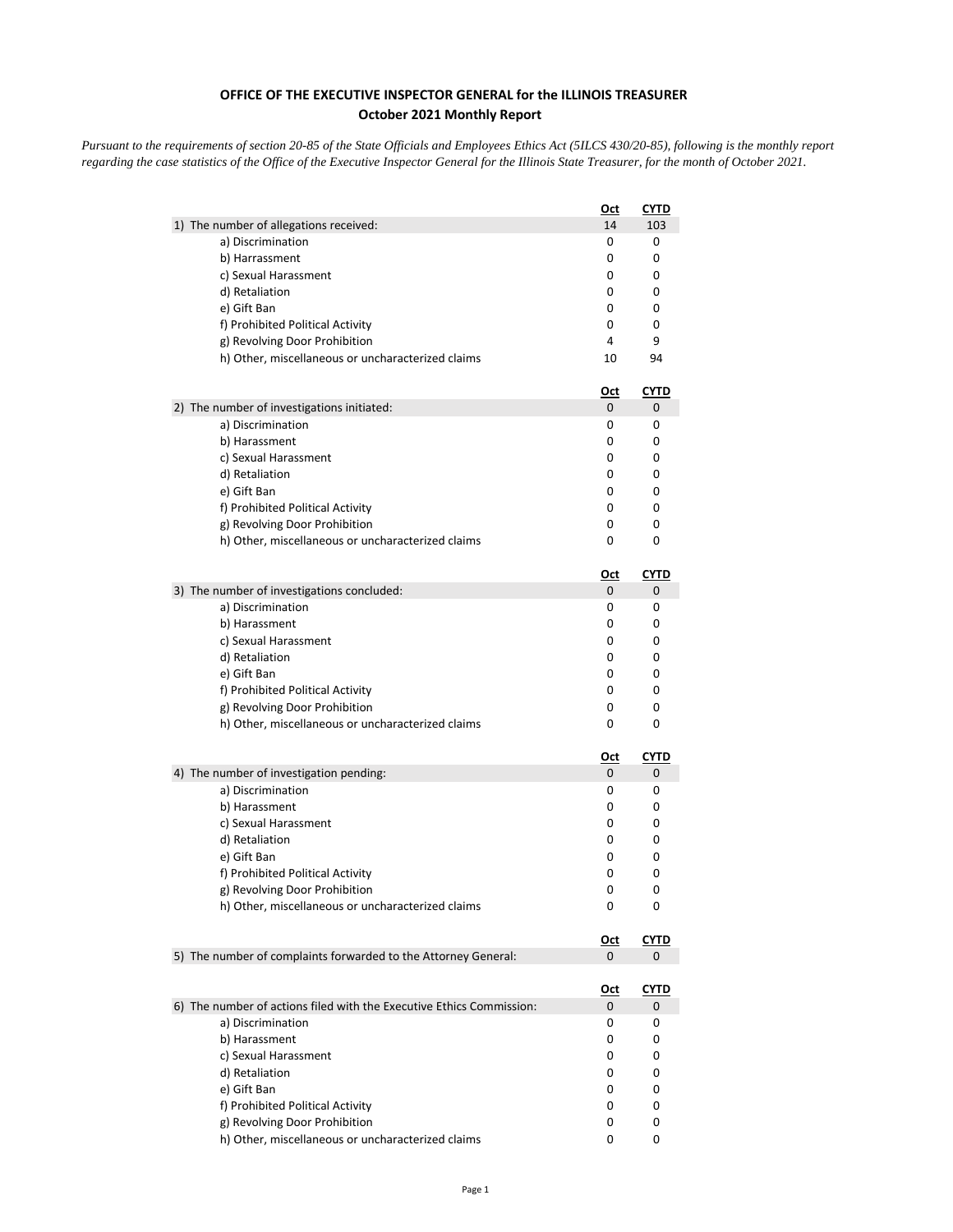## **OFFICE OF THE EXECUTIVE INSPECTOR GENERAL for the ILLINOIS TREASURER October 2021 Monthly Report**

*Pursuant to the requirements of section 20-85 of the State Officials and Employees Ethics Act (5ILCS 430/20-85), following is the monthly report regarding the case statistics of the Office of the Executive Inspector General for the Illinois State Treasurer, for the month of October 2021.* 

|                                                                      | <u>Oct</u> | <u>CYTD</u> |
|----------------------------------------------------------------------|------------|-------------|
| 1) The number of allegations received:                               | 14         | 103         |
| a) Discrimination                                                    | 0          | 0           |
| b) Harrassment                                                       | 0          | 0           |
| c) Sexual Harassment                                                 | 0          | 0           |
| d) Retaliation                                                       | 0          | 0           |
| e) Gift Ban                                                          | 0          | 0           |
| f) Prohibited Political Activity                                     | 0          | 0           |
| g) Revolving Door Prohibition                                        | 4          | 9           |
| h) Other, miscellaneous or uncharacterized claims                    | 10         | 94          |
|                                                                      | <u>Oct</u> | <b>CYTD</b> |
| 2) The number of investigations initiated:                           | 0          | 0           |
| a) Discrimination                                                    | 0          | 0           |
| b) Harassment                                                        | 0          | 0           |
| c) Sexual Harassment                                                 | 0          | 0           |
| d) Retaliation                                                       | 0          | 0           |
| e) Gift Ban                                                          | 0          | 0           |
| f) Prohibited Political Activity                                     | 0          | 0           |
| g) Revolving Door Prohibition                                        | 0          | 0           |
| h) Other, miscellaneous or uncharacterized claims                    | 0          | 0           |
|                                                                      | <u>Oct</u> | CYTD        |
| 3) The number of investigations concluded:                           | 0          | 0           |
| a) Discrimination                                                    | 0          | 0           |
| b) Harassment                                                        | 0          | 0           |
| c) Sexual Harassment                                                 | 0          | 0           |
| d) Retaliation                                                       | 0          | 0           |
| e) Gift Ban                                                          | 0          | 0           |
| f) Prohibited Political Activity                                     | 0          | 0           |
| g) Revolving Door Prohibition                                        | 0          | 0           |
| h) Other, miscellaneous or uncharacterized claims                    | 0          | 0           |
|                                                                      | <u>Oct</u> | <u>CYTD</u> |
| 4) The number of investigation pending:                              | 0          | 0           |
| a) Discrimination                                                    | 0          | 0           |
| b) Harassment                                                        | 0          | 0           |
| c) Sexual Harassment                                                 | 0          | 0           |
| d) Retaliation                                                       | 0          | 0           |
| e) Gift Ban                                                          | 0          | 0           |
| f) Prohibited Political Activity                                     | 0          | 0           |
| g) Revolving Door Prohibition                                        | 0          | 0           |
| h) Other, miscellaneous or uncharacterized claims                    | 0          | 0           |
|                                                                      | <u>Oct</u> | CYTD        |
| 5) The number of complaints forwarded to the Attorney General:       | 0          | 0           |
|                                                                      | <u>Oct</u> | <b>CYTD</b> |
| 6) The number of actions filed with the Executive Ethics Commission: | 0          | 0           |
| a) Discrimination                                                    | 0          | 0           |
| b) Harassment                                                        | 0          | 0           |
| c) Sexual Harassment                                                 | 0          | 0           |
| d) Retaliation                                                       | 0          | 0           |
| e) Gift Ban                                                          | 0          | 0           |
| f) Prohibited Political Activity                                     | 0          | 0           |
| g) Revolving Door Prohibition                                        | 0          | 0           |
| h) Other, miscellaneous or uncharacterized claims                    | 0          | 0           |
|                                                                      |            |             |